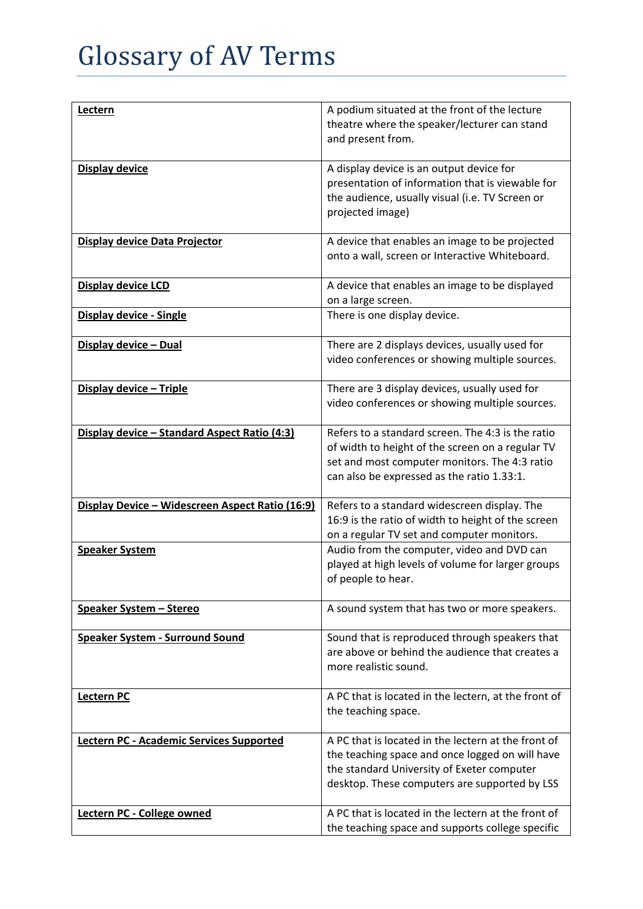| Lectern                                         | A podium situated at the front of the lecture                                                           |
|-------------------------------------------------|---------------------------------------------------------------------------------------------------------|
|                                                 | theatre where the speaker/lecturer can stand<br>and present from.                                       |
|                                                 |                                                                                                         |
| Display device                                  | A display device is an output device for<br>presentation of information that is viewable for            |
|                                                 | the audience, usually visual (i.e. TV Screen or                                                         |
|                                                 | projected image)                                                                                        |
| Display device Data Projector                   | A device that enables an image to be projected                                                          |
|                                                 | onto a wall, screen or Interactive Whiteboard.                                                          |
| Display device LCD                              | A device that enables an image to be displayed                                                          |
|                                                 | on a large screen.<br>There is one display device.                                                      |
| Display device - Single                         |                                                                                                         |
| Display device - Dual                           | There are 2 displays devices, usually used for                                                          |
|                                                 | video conferences or showing multiple sources.                                                          |
| Display device - Triple                         | There are 3 display devices, usually used for                                                           |
|                                                 | video conferences or showing multiple sources.                                                          |
| Display device - Standard Aspect Ratio (4:3)    | Refers to a standard screen. The 4:3 is the ratio                                                       |
|                                                 | of width to height of the screen on a regular TV                                                        |
|                                                 | set and most computer monitors. The 4:3 ratio<br>can also be expressed as the ratio 1.33:1.             |
|                                                 |                                                                                                         |
| Display Device - Widescreen Aspect Ratio (16:9) | Refers to a standard widescreen display. The                                                            |
|                                                 | 16:9 is the ratio of width to height of the screen<br>on a regular TV set and computer monitors.        |
| <b>Speaker System</b>                           | Audio from the computer, video and DVD can                                                              |
|                                                 | played at high levels of volume for larger groups                                                       |
|                                                 | of people to hear.                                                                                      |
| Speaker System - Stereo                         | A sound system that has two or more speakers.                                                           |
| <b>Speaker System - Surround Sound</b>          | Sound that is reproduced through speakers that                                                          |
|                                                 | are above or behind the audience that creates a                                                         |
|                                                 | more realistic sound.                                                                                   |
| Lectern PC                                      | A PC that is located in the lectern, at the front of                                                    |
|                                                 | the teaching space.                                                                                     |
| Lectern PC - Academic Services Supported        | A PC that is located in the lectern at the front of                                                     |
|                                                 | the teaching space and once logged on will have<br>the standard University of Exeter computer           |
|                                                 | desktop. These computers are supported by LSS                                                           |
|                                                 |                                                                                                         |
| Lectern PC - College owned                      | A PC that is located in the lectern at the front of<br>the teaching space and supports college specific |
|                                                 |                                                                                                         |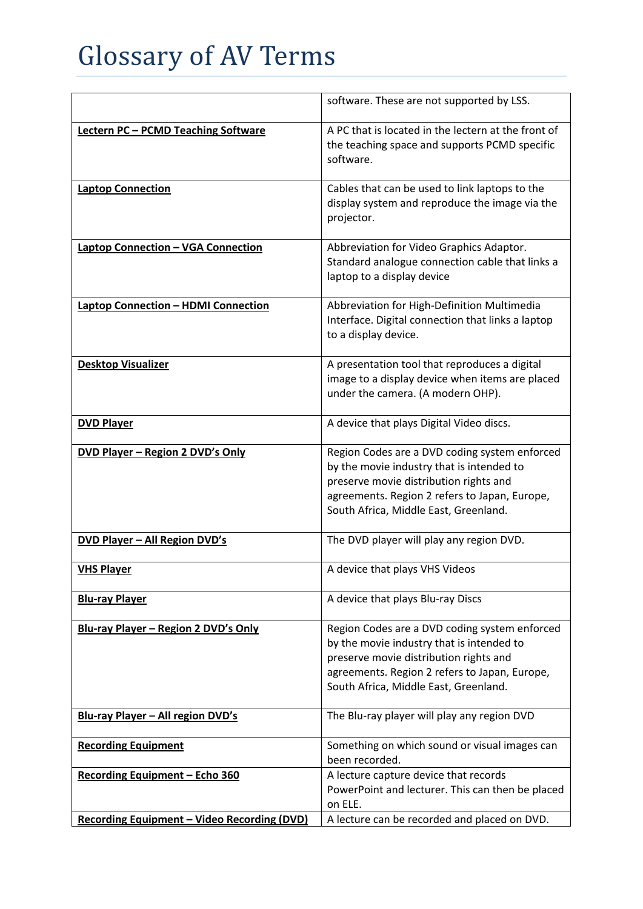|                                                    | software. These are not supported by LSS.                                                                                                                                                                                      |
|----------------------------------------------------|--------------------------------------------------------------------------------------------------------------------------------------------------------------------------------------------------------------------------------|
| <b>Lectern PC - PCMD Teaching Software</b>         | A PC that is located in the lectern at the front of<br>the teaching space and supports PCMD specific<br>software.                                                                                                              |
| <b>Laptop Connection</b>                           | Cables that can be used to link laptops to the<br>display system and reproduce the image via the<br>projector.                                                                                                                 |
| <b>Laptop Connection - VGA Connection</b>          | Abbreviation for Video Graphics Adaptor.<br>Standard analogue connection cable that links a<br>laptop to a display device                                                                                                      |
| <b>Laptop Connection - HDMI Connection</b>         | Abbreviation for High-Definition Multimedia<br>Interface. Digital connection that links a laptop<br>to a display device.                                                                                                       |
| <b>Desktop Visualizer</b>                          | A presentation tool that reproduces a digital<br>image to a display device when items are placed<br>under the camera. (A modern OHP).                                                                                          |
| <b>DVD Player</b>                                  | A device that plays Digital Video discs.                                                                                                                                                                                       |
| DVD Player - Region 2 DVD's Only                   | Region Codes are a DVD coding system enforced<br>by the movie industry that is intended to<br>preserve movie distribution rights and<br>agreements. Region 2 refers to Japan, Europe,<br>South Africa, Middle East, Greenland. |
| <b>DVD Player - All Region DVD's</b>               | The DVD player will play any region DVD.                                                                                                                                                                                       |
| <b>VHS Player</b>                                  | A device that plays VHS Videos                                                                                                                                                                                                 |
| <b>Blu-ray Player</b>                              | A device that plays Blu-ray Discs                                                                                                                                                                                              |
| Blu-ray Player - Region 2 DVD's Only               | Region Codes are a DVD coding system enforced<br>by the movie industry that is intended to<br>preserve movie distribution rights and<br>agreements. Region 2 refers to Japan, Europe,<br>South Africa, Middle East, Greenland. |
| Blu-ray Player - All region DVD's                  | The Blu-ray player will play any region DVD                                                                                                                                                                                    |
| <b>Recording Equipment</b>                         | Something on which sound or visual images can<br>been recorded.                                                                                                                                                                |
| Recording Equipment - Echo 360                     | A lecture capture device that records<br>PowerPoint and lecturer. This can then be placed<br>on ELE.                                                                                                                           |
| <b>Recording Equipment - Video Recording (DVD)</b> | A lecture can be recorded and placed on DVD.                                                                                                                                                                                   |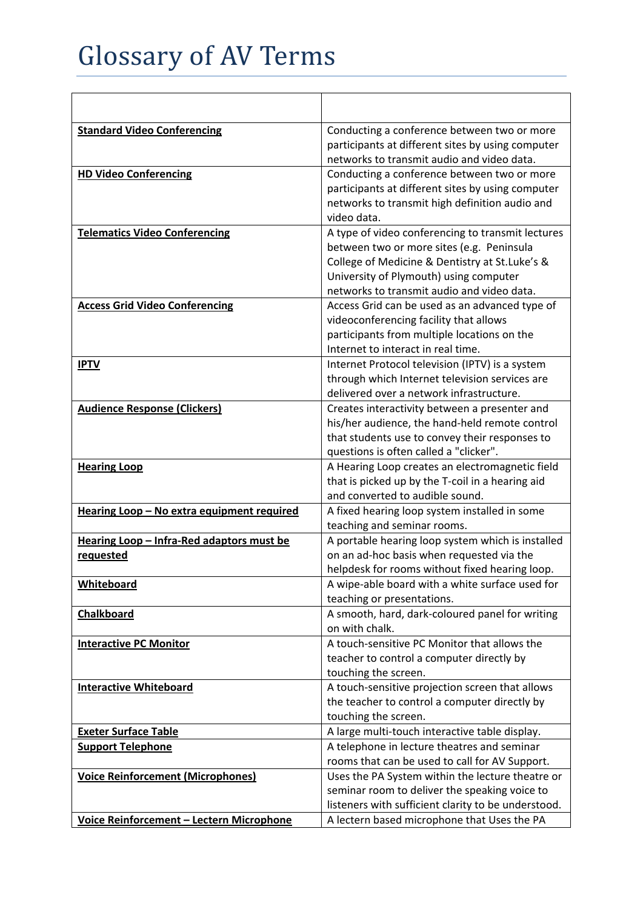| <b>Standard Video Conferencing</b>                     | Conducting a conference between two or more<br>participants at different sites by using computer<br>networks to transmit audio and video data.                                                                                           |
|--------------------------------------------------------|------------------------------------------------------------------------------------------------------------------------------------------------------------------------------------------------------------------------------------------|
| <b>HD Video Conferencing</b>                           | Conducting a conference between two or more<br>participants at different sites by using computer<br>networks to transmit high definition audio and<br>video data.                                                                        |
| <b>Telematics Video Conferencing</b>                   | A type of video conferencing to transmit lectures<br>between two or more sites (e.g. Peninsula<br>College of Medicine & Dentistry at St.Luke's &<br>University of Plymouth) using computer<br>networks to transmit audio and video data. |
| <b>Access Grid Video Conferencing</b>                  | Access Grid can be used as an advanced type of<br>videoconferencing facility that allows<br>participants from multiple locations on the<br>Internet to interact in real time.                                                            |
| <b>IPTV</b>                                            | Internet Protocol television (IPTV) is a system<br>through which Internet television services are<br>delivered over a network infrastructure.                                                                                            |
| <b>Audience Response (Clickers)</b>                    | Creates interactivity between a presenter and<br>his/her audience, the hand-held remote control<br>that students use to convey their responses to<br>questions is often called a "clicker".                                              |
| <b>Hearing Loop</b>                                    | A Hearing Loop creates an electromagnetic field<br>that is picked up by the T-coil in a hearing aid<br>and converted to audible sound.                                                                                                   |
| Hearing Loop - No extra equipment required             | A fixed hearing loop system installed in some<br>teaching and seminar rooms.                                                                                                                                                             |
| Hearing Loop - Infra-Red adaptors must be<br>requested | A portable hearing loop system which is installed<br>on an ad-hoc basis when requested via the<br>helpdesk for rooms without fixed hearing loop.                                                                                         |
| <b>Whiteboard</b>                                      | A wipe-able board with a white surface used for<br>teaching or presentations.                                                                                                                                                            |
| Chalkboard                                             | A smooth, hard, dark-coloured panel for writing<br>on with chalk.                                                                                                                                                                        |
| <b>Interactive PC Monitor</b>                          | A touch-sensitive PC Monitor that allows the<br>teacher to control a computer directly by<br>touching the screen.                                                                                                                        |
| <b>Interactive Whiteboard</b>                          | A touch-sensitive projection screen that allows<br>the teacher to control a computer directly by<br>touching the screen.                                                                                                                 |
| <b>Exeter Surface Table</b>                            | A large multi-touch interactive table display.                                                                                                                                                                                           |
| <b>Support Telephone</b>                               | A telephone in lecture theatres and seminar<br>rooms that can be used to call for AV Support.                                                                                                                                            |
| <b>Voice Reinforcement (Microphones)</b>               | Uses the PA System within the lecture theatre or<br>seminar room to deliver the speaking voice to<br>listeners with sufficient clarity to be understood.                                                                                 |
| Voice Reinforcement - Lectern Microphone               | A lectern based microphone that Uses the PA                                                                                                                                                                                              |